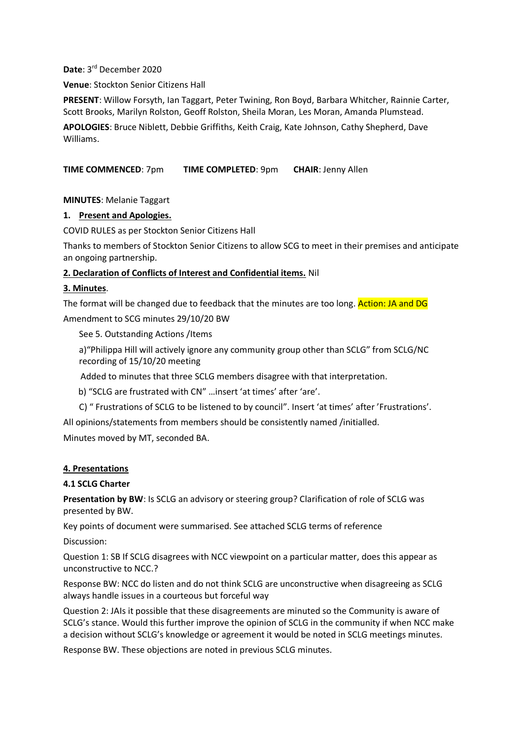### **Date**: 3rd December 2020

**Venue**: Stockton Senior Citizens Hall

**PRESENT**: Willow Forsyth, Ian Taggart, Peter Twining, Ron Boyd, Barbara Whitcher, Rainnie Carter, Scott Brooks, Marilyn Rolston, Geoff Rolston, Sheila Moran, Les Moran, Amanda Plumstead.

**APOLOGIES**: Bruce Niblett, Debbie Griffiths, Keith Craig, Kate Johnson, Cathy Shepherd, Dave Williams.

**TIME COMMENCED**: 7pm **TIME COMPLETED**: 9pm **CHAIR**: Jenny Allen

**MINUTES**: Melanie Taggart

## **1. Present and Apologies.**

COVID RULES as per Stockton Senior Citizens Hall

Thanks to members of Stockton Senior Citizens to allow SCG to meet in their premises and anticipate an ongoing partnership.

## **2. Declaration of Conflicts of Interest and Confidential items.** Nil

## **3. Minutes**.

The format will be changed due to feedback that the minutes are too long. Action: JA and DG Amendment to SCG minutes 29/10/20 BW

See 5. Outstanding Actions /Items

a)"Philippa Hill will actively ignore any community group other than SCLG" from SCLG/NC recording of 15/10/20 meeting

Added to minutes that three SCLG members disagree with that interpretation.

b) "SCLG are frustrated with CN" …insert 'at times' after 'are'.

C) " Frustrations of SCLG to be listened to by council". Insert 'at times' after 'Frustrations'.

All opinions/statements from members should be consistently named /initialled.

Minutes moved by MT, seconded BA.

### **4. Presentations**

### **4.1 SCLG Charter**

**Presentation by BW**: Is SCLG an advisory or steering group? Clarification of role of SCLG was presented by BW.

Key points of document were summarised. See attached SCLG terms of reference Discussion:

Question 1: SB If SCLG disagrees with NCC viewpoint on a particular matter, does this appear as unconstructive to NCC.?

Response BW: NCC do listen and do not think SCLG are unconstructive when disagreeing as SCLG always handle issues in a courteous but forceful way

Question 2: JAIs it possible that these disagreements are minuted so the Community is aware of SCLG's stance. Would this further improve the opinion of SCLG in the community if when NCC make a decision without SCLG's knowledge or agreement it would be noted in SCLG meetings minutes.

Response BW. These objections are noted in previous SCLG minutes.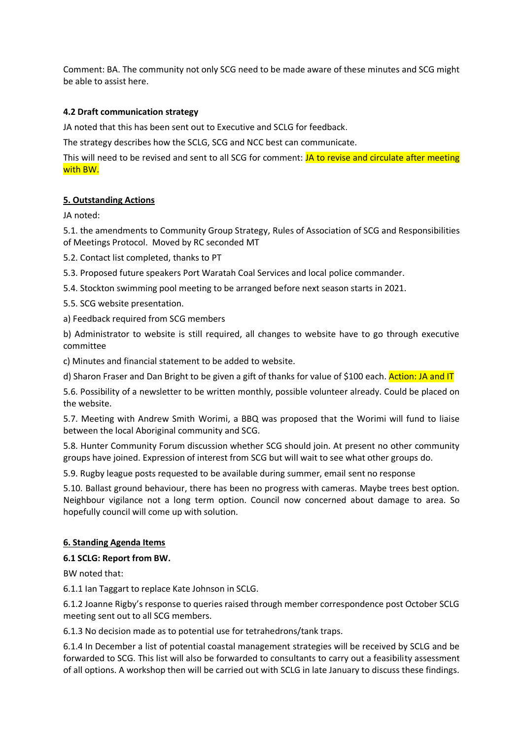Comment: BA. The community not only SCG need to be made aware of these minutes and SCG might be able to assist here.

## **4.2 Draft communication strategy**

JA noted that this has been sent out to Executive and SCLG for feedback.

The strategy describes how the SCLG, SCG and NCC best can communicate.

This will need to be revised and sent to all SCG for comment: JA to revise and circulate after meeting with BW.

### **5. Outstanding Actions**

JA noted:

5.1. the amendments to Community Group Strategy, Rules of Association of SCG and Responsibilities of Meetings Protocol. Moved by RC seconded MT

5.2. Contact list completed, thanks to PT

5.3. Proposed future speakers Port Waratah Coal Services and local police commander.

5.4. Stockton swimming pool meeting to be arranged before next season starts in 2021.

5.5. SCG website presentation.

a) Feedback required from SCG members

b) Administrator to website is still required, all changes to website have to go through executive committee

c) Minutes and financial statement to be added to website.

d) Sharon Fraser and Dan Bright to be given a gift of thanks for value of \$100 each. Action: JA and IT

5.6. Possibility of a newsletter to be written monthly, possible volunteer already. Could be placed on the website.

5.7. Meeting with Andrew Smith Worimi, a BBQ was proposed that the Worimi will fund to liaise between the local Aboriginal community and SCG.

5.8. Hunter Community Forum discussion whether SCG should join. At present no other community groups have joined. Expression of interest from SCG but will wait to see what other groups do.

5.9. Rugby league posts requested to be available during summer, email sent no response

5.10. Ballast ground behaviour, there has been no progress with cameras. Maybe trees best option. Neighbour vigilance not a long term option. Council now concerned about damage to area. So hopefully council will come up with solution.

### **6. Standing Agenda Items**

### **6.1 SCLG: Report from BW.**

BW noted that:

6.1.1 Ian Taggart to replace Kate Johnson in SCLG.

6.1.2 Joanne Rigby's response to queries raised through member correspondence post October SCLG meeting sent out to all SCG members.

6.1.3 No decision made as to potential use for tetrahedrons/tank traps.

6.1.4 In December a list of potential coastal management strategies will be received by SCLG and be forwarded to SCG. This list will also be forwarded to consultants to carry out a feasibility assessment of all options. A workshop then will be carried out with SCLG in late January to discuss these findings.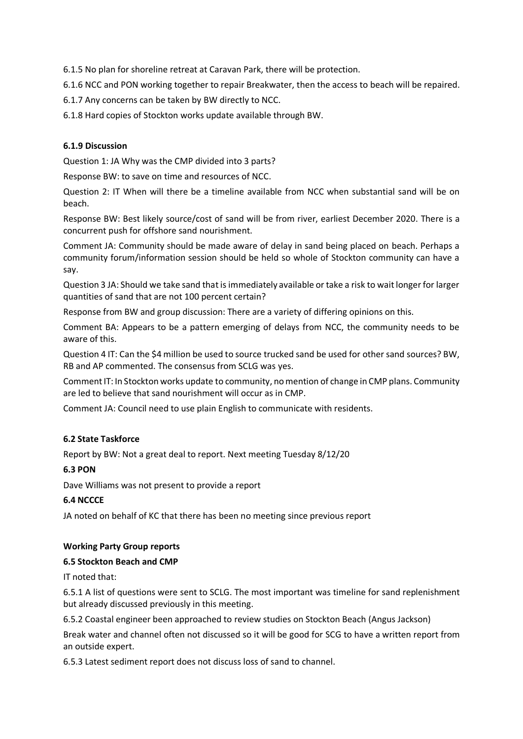6.1.5 No plan for shoreline retreat at Caravan Park, there will be protection.

6.1.6 NCC and PON working together to repair Breakwater, then the access to beach will be repaired.

6.1.7 Any concerns can be taken by BW directly to NCC.

6.1.8 Hard copies of Stockton works update available through BW.

## **6.1.9 Discussion**

Question 1: JA Why was the CMP divided into 3 parts?

Response BW: to save on time and resources of NCC.

Question 2: IT When will there be a timeline available from NCC when substantial sand will be on beach.

Response BW: Best likely source/cost of sand will be from river, earliest December 2020. There is a concurrent push for offshore sand nourishment.

Comment JA: Community should be made aware of delay in sand being placed on beach. Perhaps a community forum/information session should be held so whole of Stockton community can have a say.

Question 3 JA: Should we take sand that is immediately available or take a risk to wait longer for larger quantities of sand that are not 100 percent certain?

Response from BW and group discussion: There are a variety of differing opinions on this.

Comment BA: Appears to be a pattern emerging of delays from NCC, the community needs to be aware of this.

Question 4 IT: Can the \$4 million be used to source trucked sand be used for other sand sources? BW, RB and AP commented. The consensus from SCLG was yes.

Comment IT: In Stockton works update to community, no mention of change in CMP plans. Community are led to believe that sand nourishment will occur as in CMP.

Comment JA: Council need to use plain English to communicate with residents.

## **6.2 State Taskforce**

Report by BW: Not a great deal to report. Next meeting Tuesday 8/12/20

### **6.3 PON**

Dave Williams was not present to provide a report

### **6.4 NCCCE**

JA noted on behalf of KC that there has been no meeting since previous report

### **Working Party Group reports**

### **6.5 Stockton Beach and CMP**

IT noted that:

6.5.1 A list of questions were sent to SCLG. The most important was timeline for sand replenishment but already discussed previously in this meeting.

6.5.2 Coastal engineer been approached to review studies on Stockton Beach (Angus Jackson)

Break water and channel often not discussed so it will be good for SCG to have a written report from an outside expert.

6.5.3 Latest sediment report does not discuss loss of sand to channel.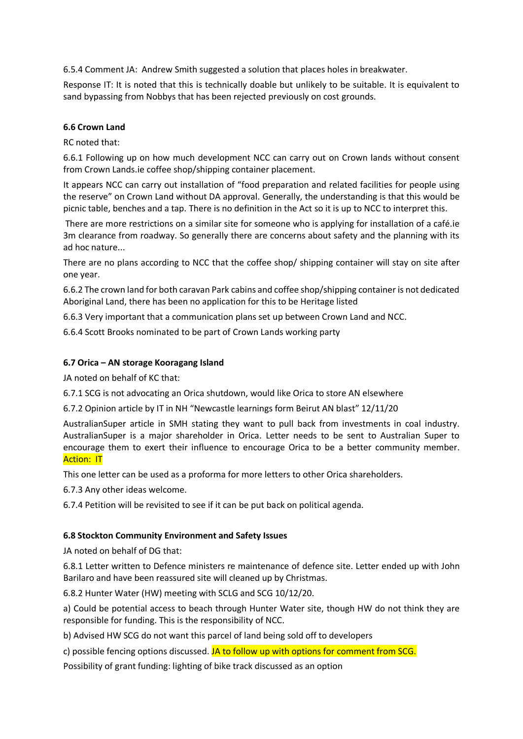6.5.4 Comment JA: Andrew Smith suggested a solution that places holes in breakwater.

Response IT: It is noted that this is technically doable but unlikely to be suitable. It is equivalent to sand bypassing from Nobbys that has been rejected previously on cost grounds.

### **6.6 Crown Land**

RC noted that:

6.6.1 Following up on how much development NCC can carry out on Crown lands without consent from Crown Lands.ie coffee shop/shipping container placement.

It appears NCC can carry out installation of "food preparation and related facilities for people using the reserve" on Crown Land without DA approval. Generally, the understanding is that this would be picnic table, benches and a tap. There is no definition in the Act so it is up to NCC to interpret this.

There are more restrictions on a similar site for someone who is applying for installation of a café.ie 3m clearance from roadway. So generally there are concerns about safety and the planning with its ad hoc nature...

There are no plans according to NCC that the coffee shop/ shipping container will stay on site after one year.

6.6.2 The crown land for both caravan Park cabins and coffee shop/shipping container is not dedicated Aboriginal Land, there has been no application for this to be Heritage listed

6.6.3 Very important that a communication plans set up between Crown Land and NCC.

6.6.4 Scott Brooks nominated to be part of Crown Lands working party

## **6.7 Orica – AN storage Kooragang Island**

JA noted on behalf of KC that:

6.7.1 SCG is not advocating an Orica shutdown, would like Orica to store AN elsewhere

6.7.2 Opinion article by IT in NH "Newcastle learnings form Beirut AN blast" 12/11/20

AustralianSuper article in SMH stating they want to pull back from investments in coal industry. AustralianSuper is a major shareholder in Orica. Letter needs to be sent to Australian Super to encourage them to exert their influence to encourage Orica to be a better community member. **Action: IT** 

This one letter can be used as a proforma for more letters to other Orica shareholders.

6.7.3 Any other ideas welcome.

6.7.4 Petition will be revisited to see if it can be put back on political agenda.

## **6.8 Stockton Community Environment and Safety Issues**

JA noted on behalf of DG that:

6.8.1 Letter written to Defence ministers re maintenance of defence site. Letter ended up with John Barilaro and have been reassured site will cleaned up by Christmas.

6.8.2 Hunter Water (HW) meeting with SCLG and SCG 10/12/20.

a) Could be potential access to beach through Hunter Water site, though HW do not think they are responsible for funding. This is the responsibility of NCC.

b) Advised HW SCG do not want this parcel of land being sold off to developers

c) possible fencing options discussed. JA to follow up with options for comment from SCG.

Possibility of grant funding: lighting of bike track discussed as an option